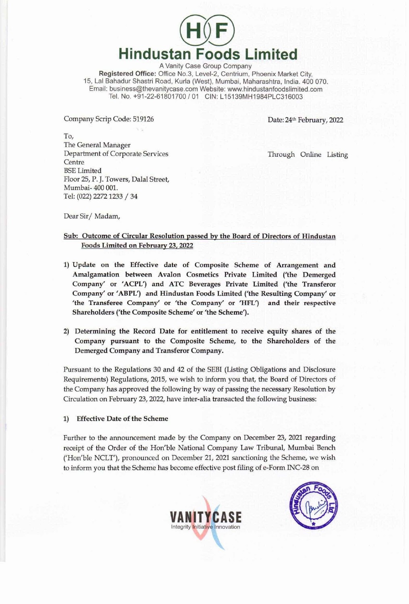

A Vanity Case Group Company Registered Office: Office No.3, Level-2, Centrium, Phoenix Market City, 15, Lal Bahadur Shastri Road, Kurla (West), Mumbai, Maharashtra, India. 400 070. Email: business@thevanitycase.com Website: www.hindustanfoodslimited.com Tel. No. +91-22-61801700 / 01 CIN: L15139MH1984PLC316003

Company Scrip Code: 519126

Date: 24th February, 2022

To, The General Manager Department of Corporate Services Centre BSE Limited Floor 25, P. J. Towers, Dalal Street, Mumbai- 400 001. Tel: (022) 2272 1233 / 34

Through Online Listing

Dear Sir/Madam,

## Sub: Outcome of Circular Resolution passed by the Board of Directors of Hindustan Foods Limited on February 23, 2022

- 1) Update on the Effective date of Composite Scheme of Arrangement and Amalgamation between Avalon Cosmetics Private Limited ('the Demerged Company' or 'ACPL') and ATC Beverages Private Limited ('the Transferor Company' or 'ABPL') and Hindustan Foods Limited ('the Resulting Company' or 'the Transferee Company' or 'the Company' or 'HFL') and their respective Shareholders ('the Composite Scheme' or 'the Scheme').
- 2) Determining the Record Date for entitlement to receive equity shares of the Company pursuant to the Composite Scheme, to the Shareholders of the Demerged Company and Transferor Company.

Pursuant to the Regulations 30 and 42 of the SEBI (Listing Obligations and Disclosure Requirements) Regulations, 2015, we wish to inform you that, the Board of Directors of the Company has approved the following by way of passing the necessary Resolution by Circulation on February 23, 2022, have inter-alia transacted the following business:

1) Effective Date of the Scheme

Further to the announcement made by the Company on December 23, 2021 regarding receipt of the Order of the Hon'ble National Company Law Tribunal, Mumbai Bench ('Hon'ble NCLT'), pronounced on December 21, 2021 sanctioning the Scheme, we wish to inform you that the Scheme has become effective post filing of e-Form INC-28 on